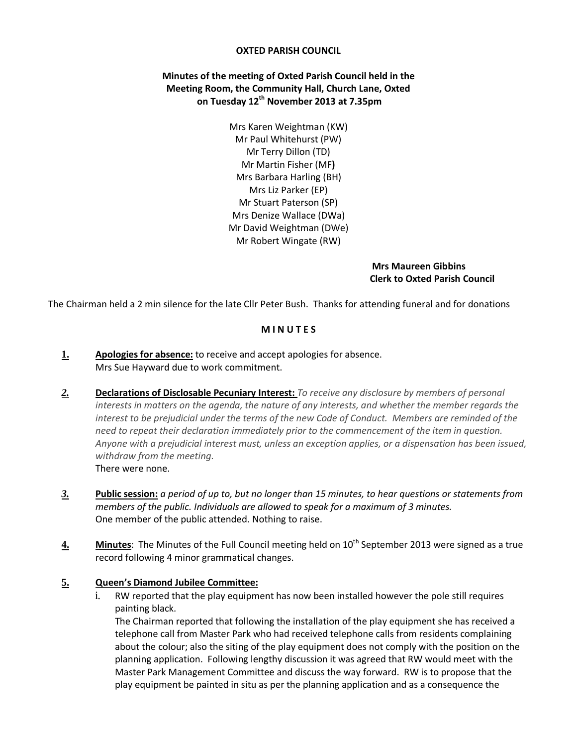#### **OXTED PARISH COUNCIL**

### **Minutes of the meeting of Oxted Parish Council held in the Meeting Room, the Community Hall, Church Lane, Oxted on Tuesday 12th November 2013 at 7.35pm**

Mrs Karen Weightman (KW) Mr Paul Whitehurst (PW) Mr Terry Dillon (TD) Mr Martin Fisher (MF**)** Mrs Barbara Harling (BH) Mrs Liz Parker (EP) Mr Stuart Paterson (SP) Mrs Denize Wallace (DWa) Mr David Weightman (DWe) Mr Robert Wingate (RW)

> **Mrs Maureen Gibbins Clerk to Oxted Parish Council**

The Chairman held a 2 min silence for the late Cllr Peter Bush. Thanks for attending funeral and for donations

#### **M I N U T E S**

- **1. Apologies for absence:** to receive and accept apologies for absence. Mrs Sue Hayward due to work commitment.
- *2.* **Declarations of Disclosable Pecuniary Interest:** *To receive any disclosure by members of personal interests in matters on the agenda, the nature of any interests, and whether the member regards the interest to be prejudicial under the terms of the new Code of Conduct. Members are reminded of the need to repeat their declaration immediately prior to the commencement of the item in question. Anyone with a prejudicial interest must, unless an exception applies, or a dispensation has been issued, withdraw from the meeting.* There were none.
- $3.$  Public session: a period of up to, but no longer than 15 minutes, to hear questions or statements from *members of the public. Individuals are allowed to speak for a maximum of 3 minutes.* One member of the public attended. Nothing to raise.
- 4. **Minutes**: The Minutes of the Full Council meeting held on 10<sup>th</sup> September 2013 were signed as a true record following 4 minor grammatical changes.

#### **5. Queen's Diamond Jubilee Committee:**

i. RW reported that the play equipment has now been installed however the pole still requires painting black.

The Chairman reported that following the installation of the play equipment she has received a telephone call from Master Park who had received telephone calls from residents complaining about the colour; also the siting of the play equipment does not comply with the position on the planning application. Following lengthy discussion it was agreed that RW would meet with the Master Park Management Committee and discuss the way forward. RW is to propose that the play equipment be painted in situ as per the planning application and as a consequence the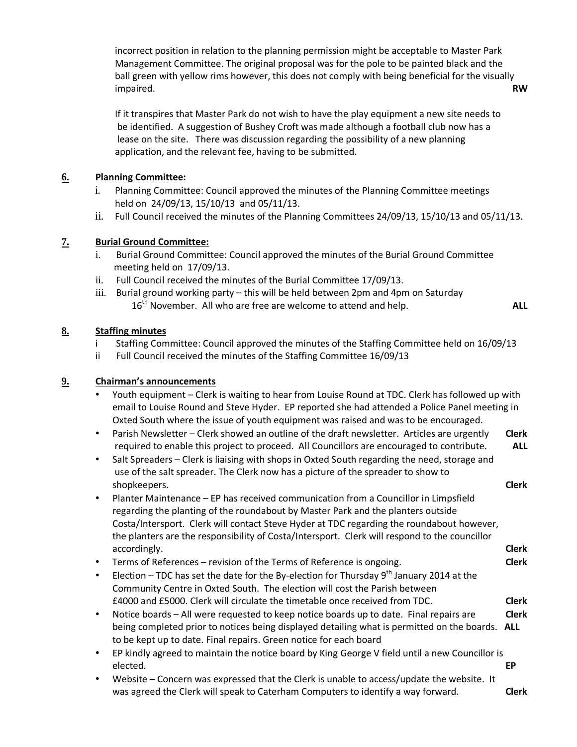incorrect position in relation to the planning permission might be acceptable to Master Park Management Committee. The original proposal was for the pole to be painted black and the ball green with yellow rims however, this does not comply with being beneficial for the visually impaired. **RW**

If it transpires that Master Park do not wish to have the play equipment a new site needs to be identified. A suggestion of Bushey Croft was made although a football club now has a lease on the site. There was discussion regarding the possibility of a new planning application, and the relevant fee, having to be submitted.

# **6. Planning Committee:**

- i. Planning Committee: Council approved the minutes of the Planning Committee meetings held on 24/09/13, 15/10/13 and 05/11/13.
- ii. Full Council received the minutes of the Planning Committees 24/09/13, 15/10/13 and 05/11/13.

### **7. Burial Ground Committee:**

- i. Burial Ground Committee: Council approved the minutes of the Burial Ground Committee meeting held on 17/09/13.
- ii. Full Council received the minutes of the Burial Committee 17/09/13.
- iii. Burial ground working party this will be held between 2pm and 4pm on Saturday 16th November. All who are free are welcome to attend and help. **ALL**

#### **8. Staffing minutes**

- i Staffing Committee: Council approved the minutes of the Staffing Committee held on 16/09/13
- ii Full Council received the minutes of the Staffing Committee 16/09/13

### **9. Chairman's announcements**

- Youth equipment Clerk is waiting to hear from Louise Round at TDC. Clerk has followed up with email to Louise Round and Steve Hyder. EP reported she had attended a Police Panel meeting in Oxted South where the issue of youth equipment was raised and was to be encouraged.
- Parish Newsletter Clerk showed an outline of the draft newsletter. Articles are urgently **Clerk** required to enable this project to proceed. All Councillors are encouraged to contribute. **ALL**
- Salt Spreaders Clerk is liaising with shops in Oxted South regarding the need, storage and use of the salt spreader. The Clerk now has a picture of the spreader to show to shopkeepers. **Clerk**
- Planter Maintenance EP has received communication from a Councillor in Limpsfield regarding the planting of the roundabout by Master Park and the planters outside Costa/Intersport. Clerk will contact Steve Hyder at TDC regarding the roundabout however, the planters are the responsibility of Costa/Intersport. Clerk will respond to the councillor accordingly. **Clerk**
- Terms of References revision of the Terms of Reference is ongoing. **Clerk**
- Election TDC has set the date for the By-election for Thursday  $9<sup>th</sup>$  January 2014 at the Community Centre in Oxted South. The election will cost the Parish between £4000 and £5000. Clerk will circulate the timetable once received from TDC. **Clerk**
- Notice boards All were requested to keep notice boards up to date. Final repairs are **Clerk** being completed prior to notices being displayed detailing what is permitted on the boards. **ALL** to be kept up to date. Final repairs. Green notice for each board
- EP kindly agreed to maintain the notice board by King George V field until a new Councillor is elected. **EP**
- Website Concern was expressed that the Clerk is unable to access/update the website. It was agreed the Clerk will speak to Caterham Computers to identify a way forward. **Clerk**